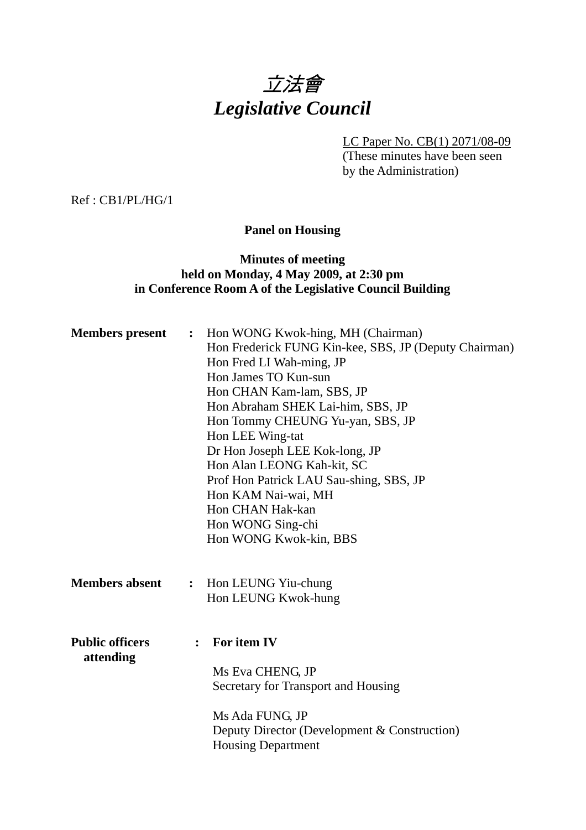# 立法會 *Legislative Council*

LC Paper No. CB(1) 2071/08-09

(These minutes have been seen by the Administration)

Ref : CB1/PL/HG/1

**Panel on Housing** 

# **Minutes of meeting held on Monday, 4 May 2009, at 2:30 pm in Conference Room A of the Legislative Council Building**

| <b>Members</b> present              | $\ddot{\bullet}$ | Hon WONG Kwok-hing, MH (Chairman)<br>Hon Frederick FUNG Kin-kee, SBS, JP (Deputy Chairman)<br>Hon Fred LI Wah-ming, JP<br>Hon James TO Kun-sun<br>Hon CHAN Kam-lam, SBS, JP<br>Hon Abraham SHEK Lai-him, SBS, JP<br>Hon Tommy CHEUNG Yu-yan, SBS, JP<br>Hon LEE Wing-tat<br>Dr Hon Joseph LEE Kok-long, JP<br>Hon Alan LEONG Kah-kit, SC<br>Prof Hon Patrick LAU Sau-shing, SBS, JP<br>Hon KAM Nai-wai, MH<br>Hon CHAN Hak-kan<br>Hon WONG Sing-chi<br>Hon WONG Kwok-kin, BBS |
|-------------------------------------|------------------|-------------------------------------------------------------------------------------------------------------------------------------------------------------------------------------------------------------------------------------------------------------------------------------------------------------------------------------------------------------------------------------------------------------------------------------------------------------------------------|
| <b>Members absent</b>               | $\ddot{\cdot}$   | Hon LEUNG Yiu-chung<br>Hon LEUNG Kwok-hung                                                                                                                                                                                                                                                                                                                                                                                                                                    |
| <b>Public officers</b><br>attending | $\ddot{\cdot}$   | For item IV<br>Ms Eva CHENG, JP<br>Secretary for Transport and Housing<br>Ms Ada FUNG, JP<br>Deputy Director (Development & Construction)<br><b>Housing Department</b>                                                                                                                                                                                                                                                                                                        |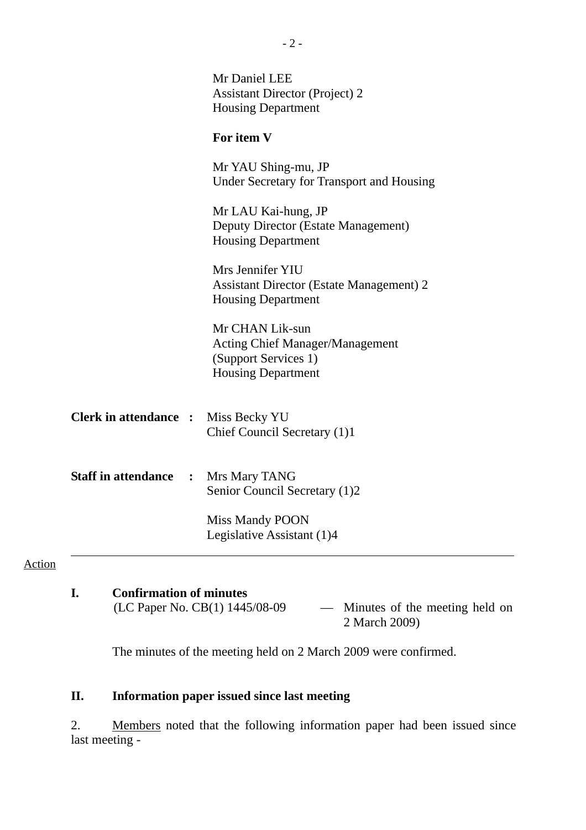|                              | Mr Daniel LEE<br><b>Assistant Director (Project) 2</b><br><b>Housing Department</b>                            |
|------------------------------|----------------------------------------------------------------------------------------------------------------|
|                              | For item V                                                                                                     |
|                              | Mr YAU Shing-mu, JP<br><b>Under Secretary for Transport and Housing</b>                                        |
|                              | Mr LAU Kai-hung, JP<br>Deputy Director (Estate Management)<br><b>Housing Department</b>                        |
|                              | Mrs Jennifer YIU<br><b>Assistant Director (Estate Management) 2</b><br><b>Housing Department</b>               |
|                              | Mr CHAN Lik-sun<br><b>Acting Chief Manager/Management</b><br>(Support Services 1)<br><b>Housing Department</b> |
| <b>Clerk in attendance :</b> | Miss Becky YU<br>Chief Council Secretary (1)1                                                                  |
| <b>Staff in attendance</b>   | : Mrs Mary TANG<br>Senior Council Secretary (1)2                                                               |
|                              | <b>Miss Mandy POON</b><br>Legislative Assistant (1)4                                                           |

- 2 -

# Action

| <b>Confirmation of minutes</b> |                        |  |  |  |  |
|--------------------------------|------------------------|--|--|--|--|
| (LC Paper No. CB(1) 1445/08-09 | — Minutes of the meeti |  |  |  |  |
|                                | $\sim$ 1.0000          |  |  |  |  |

ing held on 2 March 2009)

The minutes of the meeting held on 2 March 2009 were confirmed.

# **II. Information paper issued since last meeting**

2. Members noted that the following information paper had been issued since last meeting -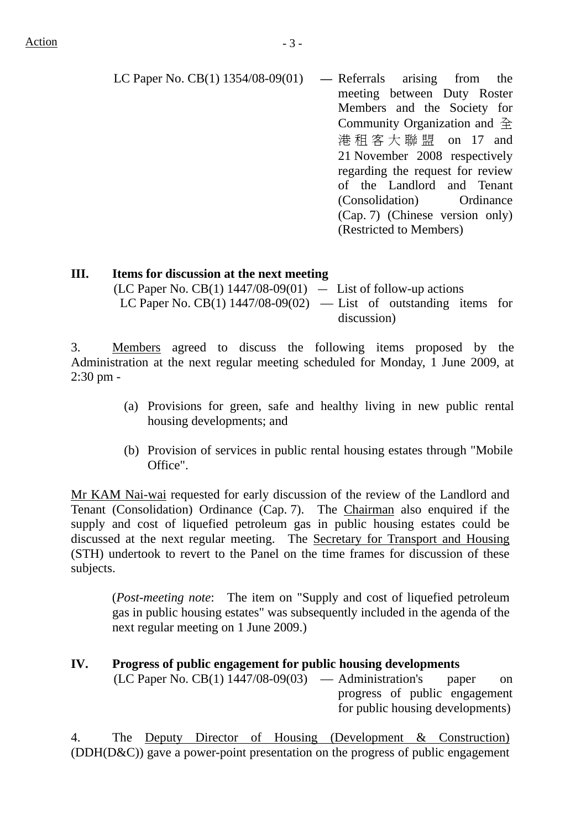LC Paper No. CB(1) 1354/08-09(01) **—** Referrals arising from the meeting between Duty Roster Members and the Society for Community Organization and 全 港租客大聯盟 on 17 and 21 November 2008 respectively

regarding the request for review of the Landlord and Tenant (Consolidation) Ordinance (Cap. 7) (Chinese version only) (Restricted to Members)

#### **III. Items for discussion at the next meeting**

 $(LC$  Paper No.  $CB(1)$  1447/08-09 $(01)$  - List of follow-up actions LC Paper No. CB(1)  $1447/08-09(02)$  — List of outstanding items for discussion)

3. Members agreed to discuss the following items proposed by the Administration at the next regular meeting scheduled for Monday, 1 June 2009, at 2:30 pm -

- (a) Provisions for green, safe and healthy living in new public rental housing developments; and
- (b) Provision of services in public rental housing estates through "Mobile Office".

 Mr KAM Nai-wai requested for early discussion of the review of the Landlord and Tenant (Consolidation) Ordinance (Cap. 7). The Chairman also enquired if the supply and cost of liquefied petroleum gas in public housing estates could be discussed at the next regular meeting. The Secretary for Transport and Housing (STH) undertook to revert to the Panel on the time frames for discussion of these subjects.

(*Post-meeting note*: The item on "Supply and cost of liquefied petroleum gas in public housing estates" was subsequently included in the agenda of the next regular meeting on 1 June 2009.)

#### **IV. Progress of public engagement for public housing developments**

 $(LC$  Paper No.  $CB(1)$  1447/08-09(03) — Administration's paper on progress of public engagement for public housing developments)

4. The Deputy Director of Housing (Development & Construction) (DDH(D&C)) gave a power-point presentation on the progress of public engagement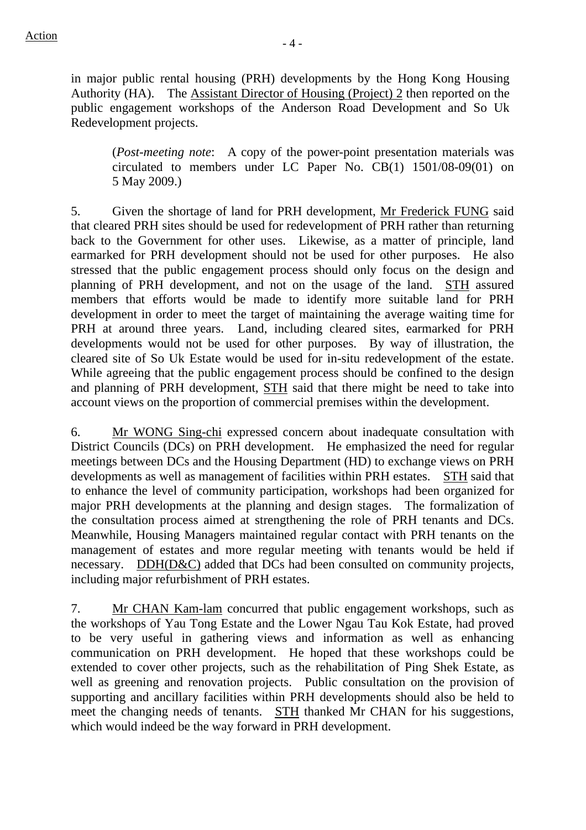in major public rental housing (PRH) developments by the Hong Kong Housing Authority (HA). The Assistant Director of Housing (Project) 2 then reported on the public engagement workshops of the Anderson Road Development and So Uk Redevelopment projects.

(*Post-meeting note*: A copy of the power-point presentation materials was circulated to members under LC Paper No. CB(1) 1501/08-09(01) on 5 May 2009.)

5. Given the shortage of land for PRH development, Mr Frederick FUNG said that cleared PRH sites should be used for redevelopment of PRH rather than returning back to the Government for other uses. Likewise, as a matter of principle, land earmarked for PRH development should not be used for other purposes. He also stressed that the public engagement process should only focus on the design and planning of PRH development, and not on the usage of the land. STH assured members that efforts would be made to identify more suitable land for PRH development in order to meet the target of maintaining the average waiting time for PRH at around three years. Land, including cleared sites, earmarked for PRH developments would not be used for other purposes. By way of illustration, the cleared site of So Uk Estate would be used for in-situ redevelopment of the estate. While agreeing that the public engagement process should be confined to the design and planning of PRH development, STH said that there might be need to take into account views on the proportion of commercial premises within the development.

6. Mr WONG Sing-chi expressed concern about inadequate consultation with District Councils (DCs) on PRH development. He emphasized the need for regular meetings between DCs and the Housing Department (HD) to exchange views on PRH developments as well as management of facilities within PRH estates. STH said that to enhance the level of community participation, workshops had been organized for major PRH developments at the planning and design stages. The formalization of the consultation process aimed at strengthening the role of PRH tenants and DCs. Meanwhile, Housing Managers maintained regular contact with PRH tenants on the management of estates and more regular meeting with tenants would be held if necessary. DDH(D&C) added that DCs had been consulted on community projects, including major refurbishment of PRH estates.

7. Mr CHAN Kam-lam concurred that public engagement workshops, such as the workshops of Yau Tong Estate and the Lower Ngau Tau Kok Estate, had proved to be very useful in gathering views and information as well as enhancing communication on PRH development. He hoped that these workshops could be extended to cover other projects, such as the rehabilitation of Ping Shek Estate, as well as greening and renovation projects. Public consultation on the provision of supporting and ancillary facilities within PRH developments should also be held to meet the changing needs of tenants. STH thanked Mr CHAN for his suggestions, which would indeed be the way forward in PRH development.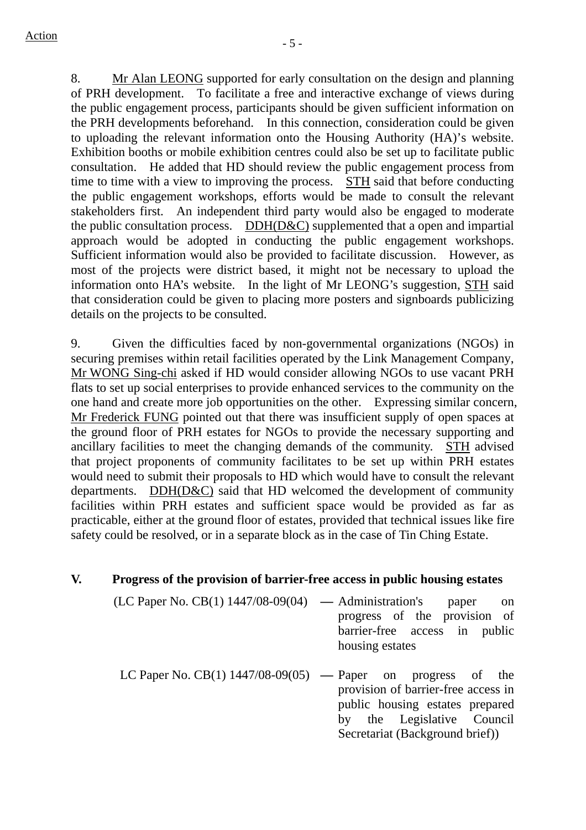8. Mr Alan LEONG supported for early consultation on the design and planning of PRH development. To facilitate a free and interactive exchange of views during the public engagement process, participants should be given sufficient information on the PRH developments beforehand. In this connection, consideration could be given to uploading the relevant information onto the Housing Authority (HA)'s website. Exhibition booths or mobile exhibition centres could also be set up to facilitate public consultation. He added that HD should review the public engagement process from time to time with a view to improving the process. STH said that before conducting the public engagement workshops, efforts would be made to consult the relevant stakeholders first. An independent third party would also be engaged to moderate the public consultation process. DDH(D&C) supplemented that a open and impartial approach would be adopted in conducting the public engagement workshops. Sufficient information would also be provided to facilitate discussion. However, as most of the projects were district based, it might not be necessary to upload the information onto HA's website. In the light of Mr LEONG's suggestion, STH said that consideration could be given to placing more posters and signboards publicizing details on the projects to be consulted.

9. Given the difficulties faced by non-governmental organizations (NGOs) in securing premises within retail facilities operated by the Link Management Company, Mr WONG Sing-chi asked if HD would consider allowing NGOs to use vacant PRH flats to set up social enterprises to provide enhanced services to the community on the one hand and create more job opportunities on the other. Expressing similar concern, Mr Frederick FUNG pointed out that there was insufficient supply of open spaces at the ground floor of PRH estates for NGOs to provide the necessary supporting and ancillary facilities to meet the changing demands of the community. STH advised that project proponents of community facilitates to be set up within PRH estates would need to submit their proposals to HD which would have to consult the relevant departments. DDH(D&C) said that HD welcomed the development of community facilities within PRH estates and sufficient space would be provided as far as practicable, either at the ground floor of estates, provided that technical issues like fire safety could be resolved, or in a separate block as in the case of Tin Ching Estate.

#### **V. Progress of the provision of barrier-free access in public housing estates**

- (LC Paper No. CB(1) 1447/08-09(04) **—** Administration's paper on progress of the provision of barrier-free access in public housing estates
- LC Paper No. CB(1) 1447/08-09(05) **—** Paper on progress of the provision of barrier-free access in public housing estates prepared by the Legislative Council Secretariat (Background brief))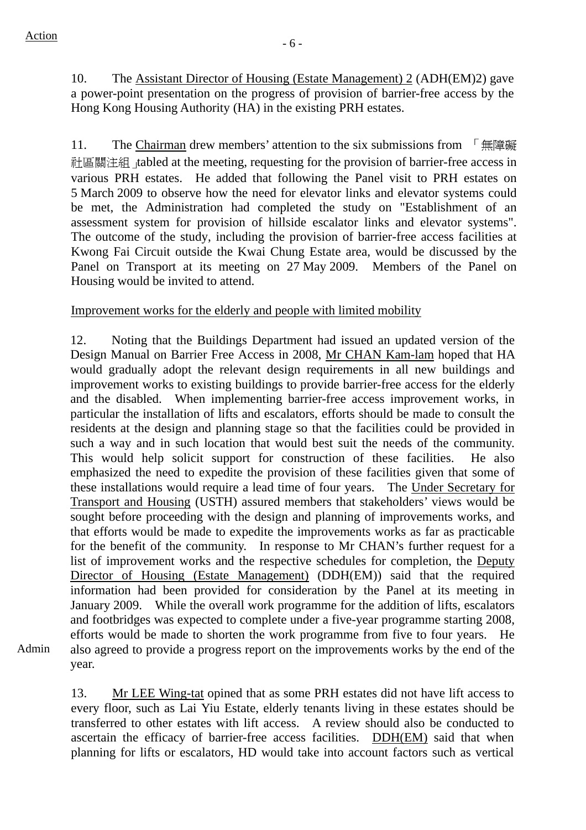10. The Assistant Director of Housing (Estate Management) 2 (ADH(EM)2) gave a power-point presentation on the progress of provision of barrier-free access by the Hong Kong Housing Authority (HA) in the existing PRH estates.

11. The Chairman drew members' attention to the six submissions from 「無障礙 社區關注組 tabled at the meeting, requesting for the provision of barrier-free access in various PRH estates. He added that following the Panel visit to PRH estates on 5 March 2009 to observe how the need for elevator links and elevator systems could be met, the Administration had completed the study on "Establishment of an assessment system for provision of hillside escalator links and elevator systems". The outcome of the study, including the provision of barrier-free access facilities at Kwong Fai Circuit outside the Kwai Chung Estate area, would be discussed by the Panel on Transport at its meeting on 27 May 2009. Members of the Panel on Housing would be invited to attend.

Improvement works for the elderly and people with limited mobility

12. Noting that the Buildings Department had issued an updated version of the Design Manual on Barrier Free Access in 2008, Mr CHAN Kam-lam hoped that HA would gradually adopt the relevant design requirements in all new buildings and improvement works to existing buildings to provide barrier-free access for the elderly and the disabled. When implementing barrier-free access improvement works, in particular the installation of lifts and escalators, efforts should be made to consult the residents at the design and planning stage so that the facilities could be provided in such a way and in such location that would best suit the needs of the community. This would help solicit support for construction of these facilities. He also emphasized the need to expedite the provision of these facilities given that some of these installations would require a lead time of four years. The Under Secretary for Transport and Housing (USTH) assured members that stakeholders' views would be sought before proceeding with the design and planning of improvements works, and that efforts would be made to expedite the improvements works as far as practicable for the benefit of the community. In response to Mr CHAN's further request for a list of improvement works and the respective schedules for completion, the Deputy Director of Housing (Estate Management) (DDH(EM)) said that the required information had been provided for consideration by the Panel at its meeting in January 2009. While the overall work programme for the addition of lifts, escalators and footbridges was expected to complete under a five-year programme starting 2008, efforts would be made to shorten the work programme from five to four years. He also agreed to provide a progress report on the improvements works by the end of the year.

Admin

13. Mr LEE Wing-tat opined that as some PRH estates did not have lift access to every floor, such as Lai Yiu Estate, elderly tenants living in these estates should be transferred to other estates with lift access. A review should also be conducted to ascertain the efficacy of barrier-free access facilities. DDH(EM) said that when planning for lifts or escalators, HD would take into account factors such as vertical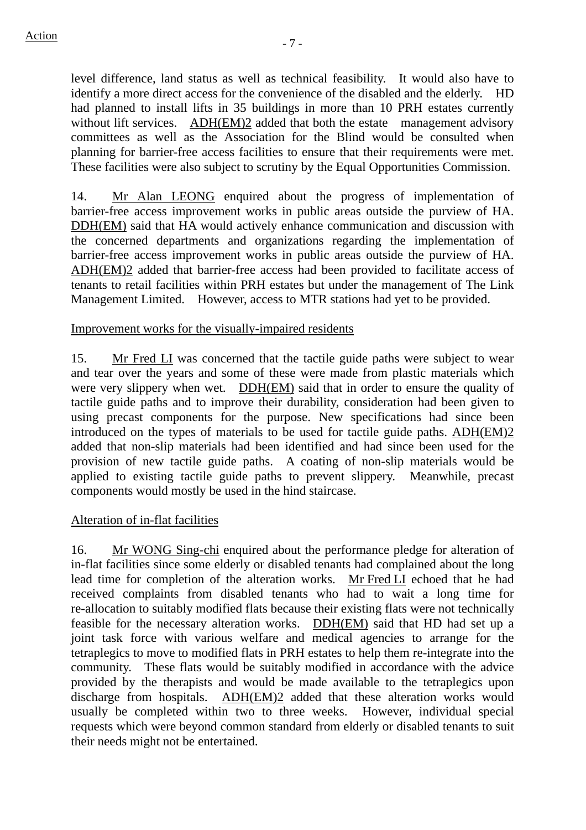level difference, land status as well as technical feasibility. It would also have to identify a more direct access for the convenience of the disabled and the elderly. HD had planned to install lifts in 35 buildings in more than 10 PRH estates currently without lift services. ADH(EM)2 added that both the estate management advisory committees as well as the Association for the Blind would be consulted when planning for barrier-free access facilities to ensure that their requirements were met. These facilities were also subject to scrutiny by the Equal Opportunities Commission.

14. Mr Alan LEONG enquired about the progress of implementation of barrier-free access improvement works in public areas outside the purview of HA. DDH(EM) said that HA would actively enhance communication and discussion with the concerned departments and organizations regarding the implementation of barrier-free access improvement works in public areas outside the purview of HA. ADH(EM)2 added that barrier-free access had been provided to facilitate access of tenants to retail facilities within PRH estates but under the management of The Link Management Limited. However, access to MTR stations had yet to be provided.

# Improvement works for the visually-impaired residents

15. Mr Fred LI was concerned that the tactile guide paths were subject to wear and tear over the years and some of these were made from plastic materials which were very slippery when wet. DDH(EM) said that in order to ensure the quality of tactile guide paths and to improve their durability, consideration had been given to using precast components for the purpose. New specifications had since been introduced on the types of materials to be used for tactile guide paths. ADH(EM)2 added that non-slip materials had been identified and had since been used for the provision of new tactile guide paths. A coating of non-slip materials would be applied to existing tactile guide paths to prevent slippery. Meanwhile, precast components would mostly be used in the hind staircase.

# Alteration of in-flat facilities

16. Mr WONG Sing-chi enquired about the performance pledge for alteration of in-flat facilities since some elderly or disabled tenants had complained about the long lead time for completion of the alteration works. Mr Fred LI echoed that he had received complaints from disabled tenants who had to wait a long time for re-allocation to suitably modified flats because their existing flats were not technically feasible for the necessary alteration works. DDH(EM) said that HD had set up a joint task force with various welfare and medical agencies to arrange for the tetraplegics to move to modified flats in PRH estates to help them re-integrate into the community. These flats would be suitably modified in accordance with the advice provided by the therapists and would be made available to the tetraplegics upon discharge from hospitals. ADH(EM)2 added that these alteration works would usually be completed within two to three weeks. However, individual special requests which were beyond common standard from elderly or disabled tenants to suit their needs might not be entertained.